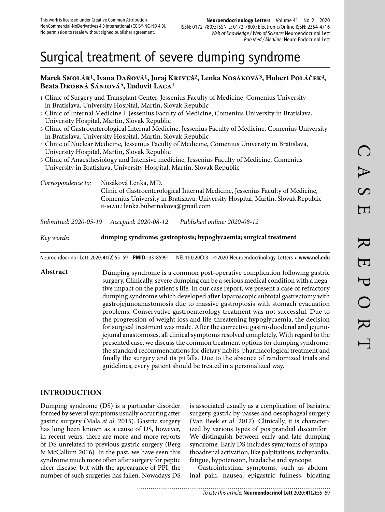# Surgical treatment of severe dumping syndrome

### **Marek Smolár1, Ivana Daňová1, Juraj Krivuš2, Lenka Nosáková3, Hubert Poláček4, Beata Drobná Sániová5, Ľudovít Laca1**

- 1 Clinic of Surgery and Transplant Center, Jessenius Faculty of Medicine, Comenius University in Bratislava, University Hospital, Martin, Slovak Republic
- 2 Clinic of Internal Medicine I. Jessenius Faculty of Medicine, Comenius University in Bratislava, University Hospital, Martin, Slovak Republic
- 3 Clinic of Gastroenterological Internal Medicine, Jessenius Faculty of Medicine, Comenius University in Bratislava, University Hospital, Martin, Slovak Republic
- 4 Clinic of Nuclear Medicine, Jessenius Faculty of Medicine, Comenius University in Bratislava, University Hospital, Martin, Slovak Republic
- 5 Clinic of Anaesthesiology and Intensive medicine, Jessenius Faculty of Medicine, Comenius University in Bratislava, University Hospital, Martin, Slovak Republic

*Correspondence to:* Nosáková Lenka, MD. Clinic of Gastroenterological Internal Medicine, Jessenius Faculty of Medicine, Comenius University in Bratislava, University Hospital, Martin, Slovak Republic e-mail: lenka.bubernakova@gmail.com

*Submitted: 2020-05-19 Accepted: 2020-08-12 Published online: 2020-08-12*

*Key words:* **dumping syndrome; gastroptosis; hypoglycaemia; surgical treatment**

Neuroendocrinol Lett 2020; **41**(2):55–59 **PMID:** 33185991 NEL410220C03 © 2020 Neuroendocrinology Letters • **www.nel.edu**

**Abstract** Dumping syndrome is a common post-operative complication following gastric surgery. Clinically, severe dumping can be a serious medical condition with a negative impact on the patient's life. In our case report, we present a case of refractory dumping syndrome which developed after laparoscopic subtotal gastrectomy with gastrojejunoanastomosis due to massive gastroptosis with stomach evacuation problems. Conservative gastroenterology treatment was not successful. Due to the progression of weight loss and life-threatening hypoglycaemia, the decision for surgical treatment was made. After the corrective gastro-duodenal and jejunojejunal anastomoses, all clinical symptoms resolved completely. With regard to the presented case, we discuss the common treatment options for dumping syndrome: the standard recommendations for dietary habits, pharmacological treatment and finally the surgery and its pitfalls. Due to the absence of randomized trials and guidelines, every patient should be treated in a personalized way.

## **INTRODUCTION**

Dumping syndrome (DS) is a particular disorder formed by several symptoms usually occurring after gastric surgery (Mala *et al.* 2015). Gastric surgery has long been known as a cause of DS, however, in recent years, there are more and more reports of DS unrelated to previous gastric surgery (Berg & McCallum 2016). In the past, we have seen this syndrome much more often after surgery for peptic ulcer disease, but with the appearance of PPI, the number of such surgeries has fallen. Nowadays DS is associated usually as a complication of bariatric surgery, gastric by-passes and oesophageal surgery (Van Beek *et al.* 2017). Clinically, it is characterized by various types of postprandial discomfort. We distinguish between early and late dumping syndrome. Early DS includes symptoms of sympathoadrenal activation, like palpitations, tachycardia, fatigue, hypotension, headache and syncope.

Gastrointestinal symptoms, such as abdominal pain, nausea, epigastric fullness, bloating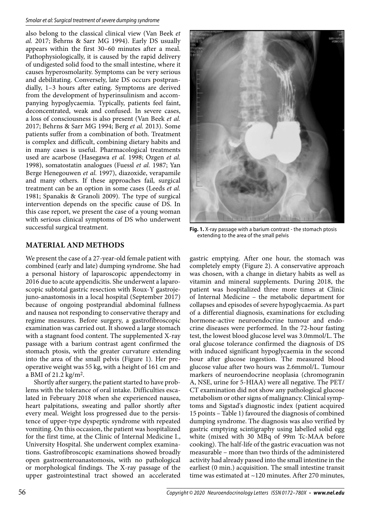also belong to the classical clinical view (Van Beek *et al.* 2017; Behrns & Sarr MG 1994). Early DS usually appears within the first 30–60 minutes after a meal. Pathophysiologically, it is caused by the rapid delivery of undigested solid food to the small intestine, where it causes hyperosmolarity. Symptoms can be very serious and debilitating. Conversely, late DS occurs postprandially, 1–3 hours after eating. Symptoms are derived from the development of hyperinsulinism and accompanying hypoglycaemia. Typically, patients feel faint, deconcentrated, weak and confused. In severe cases, a loss of consciousness is also present (Van Beek *et al.*  2017; Behrns & Sarr MG 1994; Berg *et al.* 2013). Some patients suffer from a combination of both. Treatment is complex and difficult, combining dietary habits and in many cases is useful. Pharmacological treatments used are acarbose (Hasegawa *et al.* 1998; Ozgen *et al.* 1998), somatostatin analogues (Fuessl *et al.* 1987; Yan Berge Henegouwen *et al.* 1997), diazoxide, verapamile and many others. If these approaches fail, surgical treatment can be an option in some cases (Leeds *et al.* 1981; Spanakis & Granoli 2009). The type of surgical intervention depends on the specific cause of DS. In this case report, we present the case of a young woman with serious clinical symptoms of DS who underwent successful surgical treatment.

## **MATERIAL AND METHODS**

We present the case of a 27-year-old female patient with combined (early and late) dumping syndrome. She had a personal history of laparoscopic appendectomy in 2016 due to acute appendicitis. She underwent a laparoscopic subtotal gastric resection with Roux-Y gastrojejuno-anastomosis in a local hospital (September 2017) because of ongoing postprandial abdominal fullness and nausea not responding to conservative therapy and regime measures. Before surgery, a gastrofibroscopic examination was carried out. It showed a large stomach with a stagnant food content. The supplemented X-ray passage with a barium contrast agent confirmed the stomach ptosis, with the greater curvature extending into the area of the small pelvis (Figure 1). Her preoperative weight was 55 kg, with a height of 161 cm and a BMI of 21.2 kg/m2.

Shortly after surgery, the patient started to have problems with the tolerance of oral intake. Difficulties escalated in February 2018 when she experienced nausea, heart palpitations, sweating and pallor shortly after every meal. Weight loss progressed due to the persistence of upper-type dyspeptic syndrome with repeated vomiting. On this occasion, the patient was hospitalized for the first time, at the Clinic of Internal Medicine I., University Hospital. She underwent complex examinations. Gastrofibroscopic examinations showed broadly open gastroenteroanastomosis, with no pathological or morphological findings. The X-ray passage of the upper gastrointestinal tract showed an accelerated



**Fig. 1.** X-ray passage with a barium contrast - the stomach ptosis extending to the area of the small pelvis

gastric emptying. After one hour, the stomach was completely empty (Figure 2). A conservative approach was chosen, with a change in dietary habits as well as vitamin and mineral supplements. During 2018, the patient was hospitalized three more times at Clinic of Internal Medicine – the metabolic department for collapses and episodes of severe hypoglycaemia. As part of a differential diagnosis, examinations for excluding hormone-active neuroendocrine tumour and endocrine diseases were performed. In the 72-hour fasting test, the lowest blood glucose level was 3.0mmol/L. The oral glucose tolerance confirmed the diagnosis of DS with induced significant hypoglycaemia in the second hour after glucose ingestion. The measured blood glucose value after two hours was 2.6mmol/L. Tumour markers of neuroendocrine neoplasia (chromogranin A, NSE, urine for 5-HIAA) were all negative. The PET/ CT examination did not show any pathological glucose metabolism or other signs of malignancy. Clinical symptoms and Sigstad's diagnostic index (patient acquired 15 points – Table 1) favoured the diagnosis of combined dumping syndrome. The diagnosis was also verified by gastric emptying scintigraphy using labelled solid egg white (mixed with 30 MBq of 99m Tc-MAA before cooking). The half-life of the gastric evacuation was not measurable – more than two thirds of the administered activity had already passed into the small intestine in the earliest (0 min.) acquisition. The small intestine transit time was estimated at ~120 minutes. After 270 minutes,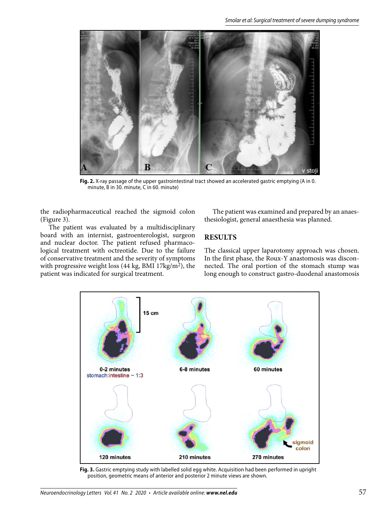

**Fig. 2.** X-ray passage of the upper gastrointestinal tract showed an accelerated gastric emptying (A in 0. minute, B in 30. minute, C in 60. minute)

the radiopharmaceutical reached the sigmoid colon (Figure 3).

The patient was evaluated by a multidisciplinary board with an internist, gastroenterologist, surgeon and nuclear doctor. The patient refused pharmacological treatment with octreotide. Due to the failure of conservative treatment and the severity of symptoms with progressive weight loss (44 kg, BMI 17kg/m2), the patient was indicated for surgical treatment.

The patient was examined and prepared by an anaesthesiologist, general anaesthesia was planned.

#### **RESULTS**

The classical upper laparotomy approach was chosen. In the first phase, the Roux-Y anastomosis was disconnected. The oral portion of the stomach stump was long enough to construct gastro-duodenal anastomosis



**Fig. 3.** Gastric emptying study with labelled solid egg white. Acquisition had been performed in upright position, geometric means of anterior and posterior 2 minute views are shown.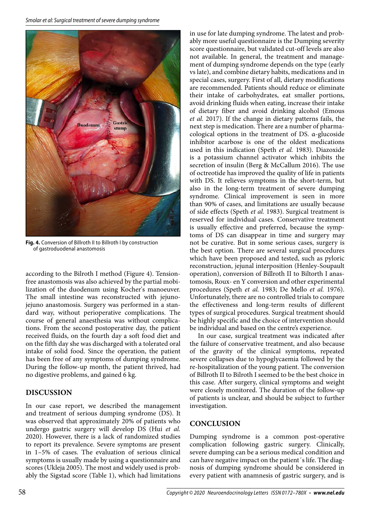

**Fig. 4.** Conversion of Billroth II to Billroth I by construction of gastroduodenal anastomosis

according to the Bilroth I method (Figure 4). Tensionfree anastomosis was also achieved by the partial mobilization of the duodenum using Kocher's manoeuver. The small intestine was reconstructed with jejunojejuno anastomosis. Surgery was performed in a standard way, without perioperative complications. The course of general anaesthesia was without complications. From the second postoperative day, the patient received fluids, on the fourth day a soft food diet and on the fifth day she was discharged with a tolerated oral intake of solid food. Since the operation, the patient has been free of any symptoms of dumping syndrome. During the follow-up month, the patient thrived, had no digestive problems, and gained 6 kg.

## **DISCUSSION**

In our case report, we described the management and treatment of serious dumping syndrome (DS). It was observed that approximately 20% of patients who undergo gastric surgery will develop DS (Hui *et al.* 2020). However, there is a lack of randomized studies to report its prevalence. Severe symptoms are present in 1–5% of cases. The evaluation of serious clinical symptoms is usually made by using a questionnaire and scores (Ukleja 2005). The most and widely used is probably the Sigstad score (Table 1), which had limitations

in use for late dumping syndrome. The latest and probably more useful questionnaire is the Dumping severity score questionnaire, but validated cut-off levels are also not available. In general, the treatment and management of dumping syndrome depends on the type (early vs late), and combine dietary habits, medications and in special cases, surgery. First of all, dietary modifications are recommended. Patients should reduce or eliminate their intake of carbohydrates, eat smaller portions, avoid drinking fluids when eating, increase their intake of dietary fiber and avoid drinking alcohol (Emous *et al.* 2017). If the change in dietary patterns fails, the next step is medication. There are a number of pharmacological options in the treatment of DS. α-glucoside inhibitor acarbose is one of the oldest medications used in this indication (Speth *et al.* 1983). Diazoxide is a potassium channel activator which inhibits the secretion of insulin (Berg & McCallum 2016). The use of octreotide has improved the quality of life in patients with DS. It relieves symptoms in the short-term, but also in the long-term treatment of severe dumping syndrome. Clinical improvement is seen in more than 90% of cases, and limitations are usually because of side effects (Speth *et al.* 1983). Surgical treatment is reserved for individual cases. Conservative treatment is usually effective and preferred, because the symptoms of DS can disappear in time and surgery may not be curative. But in some serious cases, surgery is the best option. There are several surgical procedures which have been proposed and tested, such as pyloric reconstruction, jejunal interposition (Henley-Soupault operation), conversion of Billroth II to Biltorth I anastomosis, Roux- en Y conversion and other experimental procedures (Speth *et al.* 1983; De Mello *et al.* 1976). Unfortunately, there are no controlled trials to compare the effectiveness and long-term results of different types of surgical procedures. Surgical treatment should be highly specific and the choice of intervention should be individual and based on the centre's experience.

In our case, surgical treatment was indicated after the failure of conservative treatment, and also because of the gravity of the clinical symptoms, repeated severe collapses due to hypoglycaemia followed by the re-hospitalization of the young patient. The conversion of Billroth II to Bilroth I seemed to be the best choice in this case. After surgery, clinical symptoms and weight were closely monitored. The duration of the follow-up of patients is unclear, and should be subject to further investigation.

## **CONCLUSION**

Dumping syndrome is a common post-operative complication following gastric surgery. Clinically, severe dumping can be a serious medical condition and can have negative impact on the patient´s life. The diagnosis of dumping syndrome should be considered in every patient with anamnesis of gastric surgery, and is